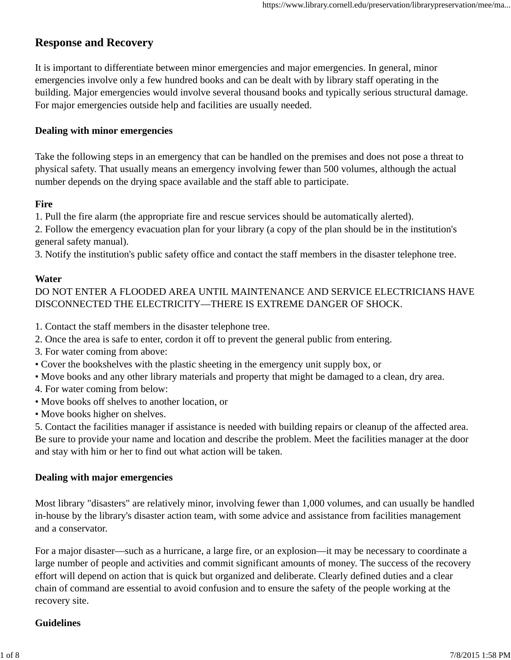# **Response and Recovery**

It is important to differentiate between minor emergencies and major emergencies. In general, minor emergencies involve only a few hundred books and can be dealt with by library staff operating in the building. Major emergencies would involve several thousand books and typically serious structural damage. For major emergencies outside help and facilities are usually needed.

#### **Dealing with minor emergencies**

Take the following steps in an emergency that can be handled on the premises and does not pose a threat to physical safety. That usually means an emergency involving fewer than 500 volumes, although the actual number depends on the drying space available and the staff able to participate.

#### **Fire**

1. Pull the fire alarm (the appropriate fire and rescue services should be automatically alerted).

2. Follow the emergency evacuation plan for your library (a copy of the plan should be in the institution's general safety manual).

3. Notify the institution's public safety office and contact the staff members in the disaster telephone tree.

#### **Water**

DO NOT ENTER A FLOODED AREA UNTIL MAINTENANCE AND SERVICE ELECTRICIANS HAVE DISCONNECTED THE ELECTRICITY—THERE IS EXTREME DANGER OF SHOCK.

1. Contact the staff members in the disaster telephone tree.

- 2. Once the area is safe to enter, cordon it off to prevent the general public from entering.
- 3. For water coming from above:
- Cover the bookshelves with the plastic sheeting in the emergency unit supply box, or
- Move books and any other library materials and property that might be damaged to a clean, dry area.
- 4. For water coming from below:
- Move books off shelves to another location, or
- Move books higher on shelves.

5. Contact the facilities manager if assistance is needed with building repairs or cleanup of the affected area. Be sure to provide your name and location and describe the problem. Meet the facilities manager at the door and stay with him or her to find out what action will be taken.

#### **Dealing with major emergencies**

Most library "disasters" are relatively minor, involving fewer than 1,000 volumes, and can usually be handled in-house by the library's disaster action team, with some advice and assistance from facilities management and a conservator.

For a major disaster—such as a hurricane, a large fire, or an explosion—it may be necessary to coordinate a large number of people and activities and commit significant amounts of money. The success of the recovery effort will depend on action that is quick but organized and deliberate. Clearly defined duties and a clear chain of command are essential to avoid confusion and to ensure the safety of the people working at the recovery site.

#### **Guidelines**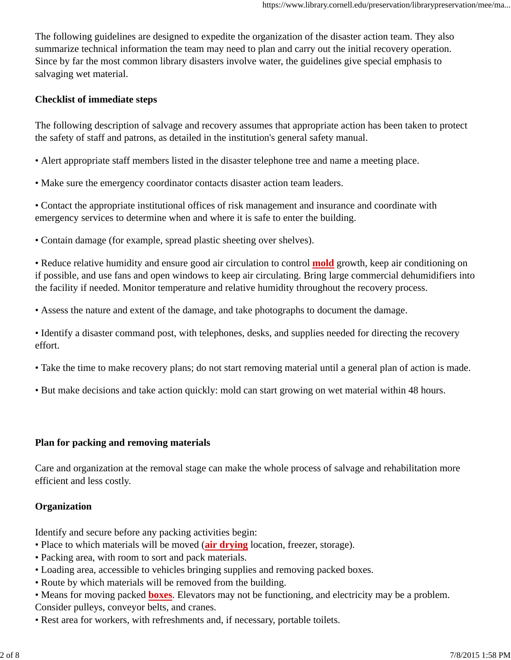The following guidelines are designed to expedite the organization of the disaster action team. They also summarize technical information the team may need to plan and carry out the initial recovery operation. Since by far the most common library disasters involve water, the guidelines give special emphasis to salvaging wet material.

#### **Checklist of immediate steps**

The following description of salvage and recovery assumes that appropriate action has been taken to protect the safety of staff and patrons, as detailed in the institution's general safety manual.

- Alert appropriate staff members listed in the disaster telephone tree and name a meeting place.
- Make sure the emergency coordinator contacts disaster action team leaders.

• Contact the appropriate institutional offices of risk management and insurance and coordinate with emergency services to determine when and where it is safe to enter the building.

• Contain damage (for example, spread plastic sheeting over shelves).

• Reduce relative humidity and ensure good air circulation to control **mold** growth, keep air conditioning on if possible, and use fans and open windows to keep air circulating. Bring large commercial dehumidifiers into the facility if needed. Monitor temperature and relative humidity throughout the recovery process.

• Assess the nature and extent of the damage, and take photographs to document the damage.

• Identify a disaster command post, with telephones, desks, and supplies needed for directing the recovery effort.

- Take the time to make recovery plans; do not start removing material until a general plan of action is made.
- But make decisions and take action quickly: mold can start growing on wet material within 48 hours.

#### **Plan for packing and removing materials**

Care and organization at the removal stage can make the whole process of salvage and rehabilitation more efficient and less costly.

### **Organization**

Identify and secure before any packing activities begin:

- Place to which materials will be moved (**air drying** location, freezer, storage).
- Packing area, with room to sort and pack materials.
- Loading area, accessible to vehicles bringing supplies and removing packed boxes.
- Route by which materials will be removed from the building.
- Means for moving packed **boxes**. Elevators may not be functioning, and electricity may be a problem. Consider pulleys, conveyor belts, and cranes.
- Rest area for workers, with refreshments and, if necessary, portable toilets.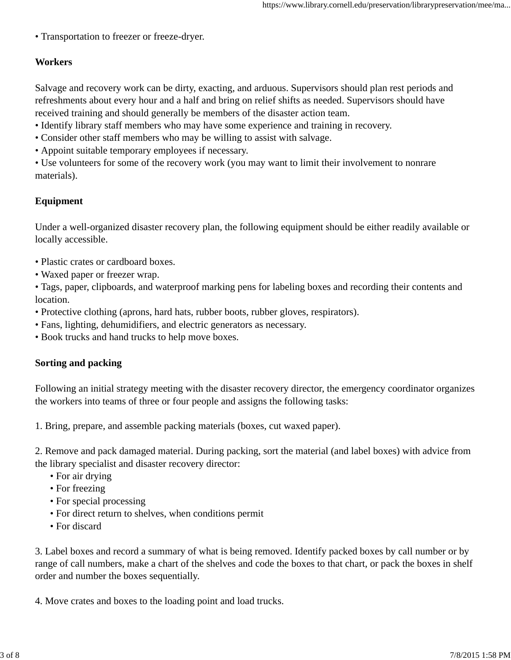• Transportation to freezer or freeze-dryer.

### **Workers**

Salvage and recovery work can be dirty, exacting, and arduous. Supervisors should plan rest periods and refreshments about every hour and a half and bring on relief shifts as needed. Supervisors should have received training and should generally be members of the disaster action team.

- Identify library staff members who may have some experience and training in recovery.
- Consider other staff members who may be willing to assist with salvage.
- Appoint suitable temporary employees if necessary.

• Use volunteers for some of the recovery work (you may want to limit their involvement to nonrare materials).

#### **Equipment**

Under a well-organized disaster recovery plan, the following equipment should be either readily available or locally accessible.

- Plastic crates or cardboard boxes.
- Waxed paper or freezer wrap.

• Tags, paper, clipboards, and waterproof marking pens for labeling boxes and recording their contents and location.

- Protective clothing (aprons, hard hats, rubber boots, rubber gloves, respirators).
- Fans, lighting, dehumidifiers, and electric generators as necessary.
- Book trucks and hand trucks to help move boxes.

#### **Sorting and packing**

Following an initial strategy meeting with the disaster recovery director, the emergency coordinator organizes the workers into teams of three or four people and assigns the following tasks:

1. Bring, prepare, and assemble packing materials (boxes, cut waxed paper).

2. Remove and pack damaged material. During packing, sort the material (and label boxes) with advice from the library specialist and disaster recovery director:

- For air drying
- For freezing
- For special processing
- For direct return to shelves, when conditions permit
- For discard

3. Label boxes and record a summary of what is being removed. Identify packed boxes by call number or by range of call numbers, make a chart of the shelves and code the boxes to that chart, or pack the boxes in shelf order and number the boxes sequentially.

4. Move crates and boxes to the loading point and load trucks.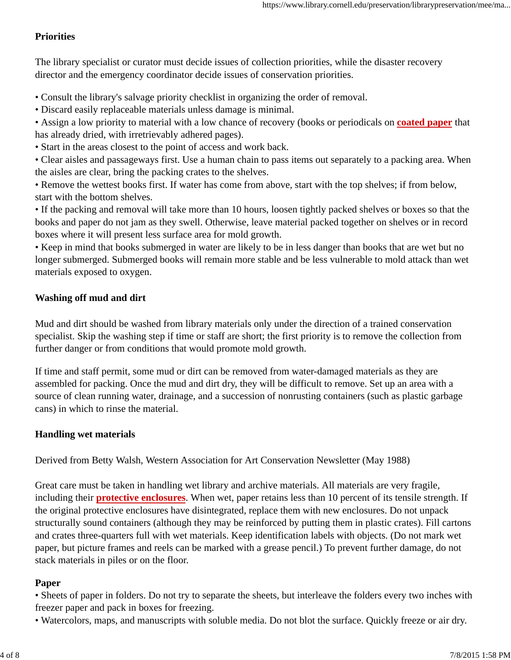### **Priorities**

The library specialist or curator must decide issues of collection priorities, while the disaster recovery director and the emergency coordinator decide issues of conservation priorities.

- Consult the library's salvage priority checklist in organizing the order of removal.
- Discard easily replaceable materials unless damage is minimal.
- Assign a low priority to material with a low chance of recovery (books or periodicals on **coated paper** that has already dried, with irretrievably adhered pages).
- Start in the areas closest to the point of access and work back.
- Clear aisles and passageways first. Use a human chain to pass items out separately to a packing area. When the aisles are clear, bring the packing crates to the shelves.
- Remove the wettest books first. If water has come from above, start with the top shelves; if from below, start with the bottom shelves.
- If the packing and removal will take more than 10 hours, loosen tightly packed shelves or boxes so that the books and paper do not jam as they swell. Otherwise, leave material packed together on shelves or in record boxes where it will present less surface area for mold growth.
- Keep in mind that books submerged in water are likely to be in less danger than books that are wet but no longer submerged. Submerged books will remain more stable and be less vulnerable to mold attack than wet materials exposed to oxygen.

### **Washing off mud and dirt**

Mud and dirt should be washed from library materials only under the direction of a trained conservation specialist. Skip the washing step if time or staff are short; the first priority is to remove the collection from further danger or from conditions that would promote mold growth.

If time and staff permit, some mud or dirt can be removed from water-damaged materials as they are assembled for packing. Once the mud and dirt dry, they will be difficult to remove. Set up an area with a source of clean running water, drainage, and a succession of nonrusting containers (such as plastic garbage cans) in which to rinse the material.

#### **Handling wet materials**

Derived from Betty Walsh, Western Association for Art Conservation Newsletter (May 1988)

Great care must be taken in handling wet library and archive materials. All materials are very fragile, including their **protective enclosures**. When wet, paper retains less than 10 percent of its tensile strength. If the original protective enclosures have disintegrated, replace them with new enclosures. Do not unpack structurally sound containers (although they may be reinforced by putting them in plastic crates). Fill cartons and crates three-quarters full with wet materials. Keep identification labels with objects. (Do not mark wet paper, but picture frames and reels can be marked with a grease pencil.) To prevent further damage, do not stack materials in piles or on the floor.

#### **Paper**

- Sheets of paper in folders. Do not try to separate the sheets, but interleave the folders every two inches with freezer paper and pack in boxes for freezing.
- Watercolors, maps, and manuscripts with soluble media. Do not blot the surface. Quickly freeze or air dry.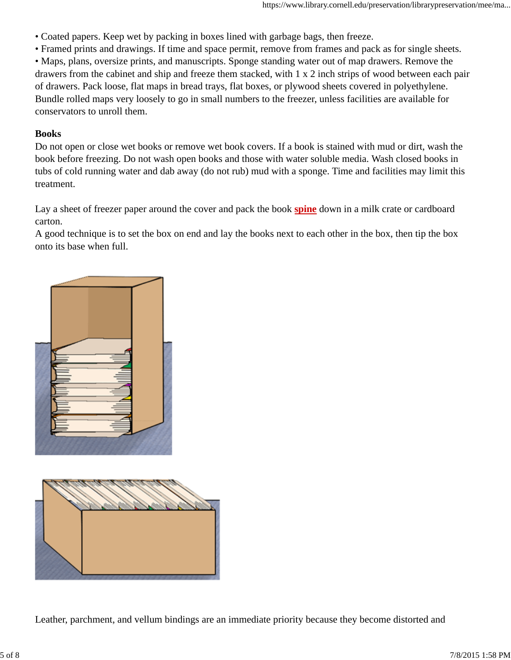- Coated papers. Keep wet by packing in boxes lined with garbage bags, then freeze.
- Framed prints and drawings. If time and space permit, remove from frames and pack as for single sheets.

• Maps, plans, oversize prints, and manuscripts. Sponge standing water out of map drawers. Remove the drawers from the cabinet and ship and freeze them stacked, with 1 x 2 inch strips of wood between each pair of drawers. Pack loose, flat maps in bread trays, flat boxes, or plywood sheets covered in polyethylene. Bundle rolled maps very loosely to go in small numbers to the freezer, unless facilities are available for conservators to unroll them.

#### **Books**

Do not open or close wet books or remove wet book covers. If a book is stained with mud or dirt, wash the book before freezing. Do not wash open books and those with water soluble media. Wash closed books in tubs of cold running water and dab away (do not rub) mud with a sponge. Time and facilities may limit this treatment.

Lay a sheet of freezer paper around the cover and pack the book **spine** down in a milk crate or cardboard carton.

A good technique is to set the box on end and lay the books next to each other in the box, then tip the box onto its base when full.



Leather, parchment, and vellum bindings are an immediate priority because they become distorted and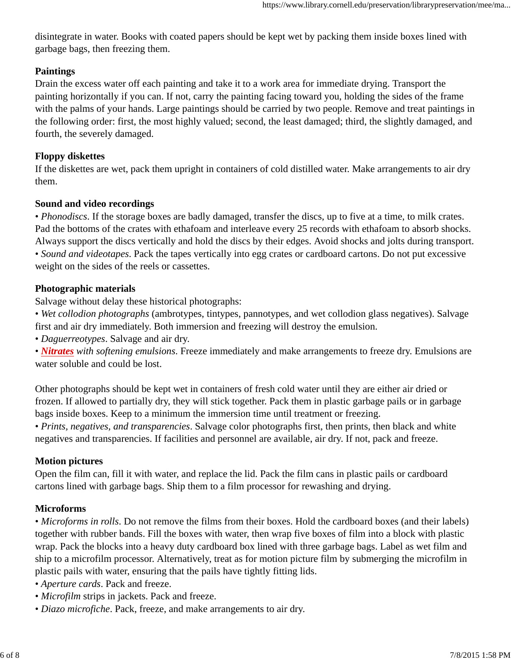disintegrate in water. Books with coated papers should be kept wet by packing them inside boxes lined with garbage bags, then freezing them.

### **Paintings**

Drain the excess water off each painting and take it to a work area for immediate drying. Transport the painting horizontally if you can. If not, carry the painting facing toward you, holding the sides of the frame with the palms of your hands. Large paintings should be carried by two people. Remove and treat paintings in the following order: first, the most highly valued; second, the least damaged; third, the slightly damaged, and fourth, the severely damaged.

### **Floppy diskettes**

If the diskettes are wet, pack them upright in containers of cold distilled water. Make arrangements to air dry them.

### **Sound and video recordings**

• *Phonodiscs*. If the storage boxes are badly damaged, transfer the discs, up to five at a time, to milk crates. Pad the bottoms of the crates with ethafoam and interleave every 25 records with ethafoam to absorb shocks. Always support the discs vertically and hold the discs by their edges. Avoid shocks and jolts during transport. • *Sound and videotapes*. Pack the tapes vertically into egg crates or cardboard cartons. Do not put excessive weight on the sides of the reels or cassettes.

### **Photographic materials**

Salvage without delay these historical photographs:

• *Wet collodion photographs* (ambrotypes, tintypes, pannotypes, and wet collodion glass negatives). Salvage first and air dry immediately. Both immersion and freezing will destroy the emulsion.

• *Daguerreotypes*. Salvage and air dry.

• *Nitrates with softening emulsions*. Freeze immediately and make arrangements to freeze dry. Emulsions are water soluble and could be lost.

Other photographs should be kept wet in containers of fresh cold water until they are either air dried or frozen. If allowed to partially dry, they will stick together. Pack them in plastic garbage pails or in garbage bags inside boxes. Keep to a minimum the immersion time until treatment or freezing.

• *Prints, negatives, and transparencies*. Salvage color photographs first, then prints, then black and white negatives and transparencies. If facilities and personnel are available, air dry. If not, pack and freeze.

## **Motion pictures**

Open the film can, fill it with water, and replace the lid. Pack the film cans in plastic pails or cardboard cartons lined with garbage bags. Ship them to a film processor for rewashing and drying.

## **Microforms**

• *Microforms in rolls*. Do not remove the films from their boxes. Hold the cardboard boxes (and their labels) together with rubber bands. Fill the boxes with water, then wrap five boxes of film into a block with plastic wrap. Pack the blocks into a heavy duty cardboard box lined with three garbage bags. Label as wet film and ship to a microfilm processor. Alternatively, treat as for motion picture film by submerging the microfilm in plastic pails with water, ensuring that the pails have tightly fitting lids.

- *Aperture cards*. Pack and freeze.
- *Microfilm* strips in jackets. Pack and freeze.
- *Diazo microfiche*. Pack, freeze, and make arrangements to air dry.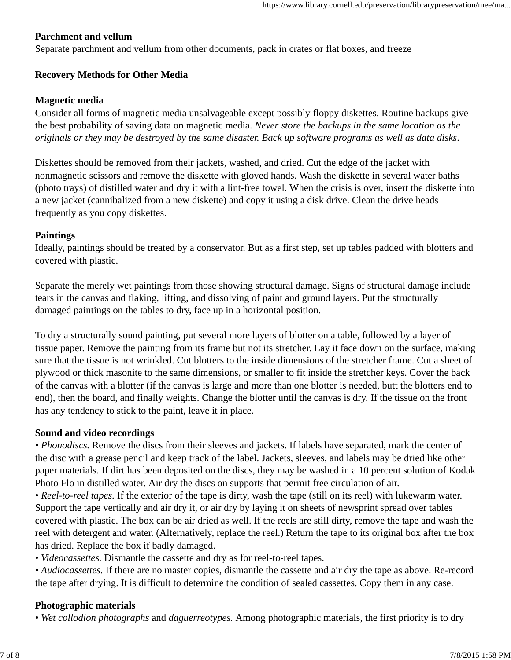### **Parchment and vellum**

Separate parchment and vellum from other documents, pack in crates or flat boxes, and freeze

#### **Recovery Methods for Other Media**

#### **Magnetic media**

Consider all forms of magnetic media unsalvageable except possibly floppy diskettes. Routine backups give the best probability of saving data on magnetic media. *Never store the backups in the same location as the originals or they may be destroyed by the same disaster. Back up software programs as well as data disks*.

Diskettes should be removed from their jackets, washed, and dried. Cut the edge of the jacket with nonmagnetic scissors and remove the diskette with gloved hands. Wash the diskette in several water baths (photo trays) of distilled water and dry it with a lint-free towel. When the crisis is over, insert the diskette into a new jacket (cannibalized from a new diskette) and copy it using a disk drive. Clean the drive heads frequently as you copy diskettes.

#### **Paintings**

Ideally, paintings should be treated by a conservator. But as a first step, set up tables padded with blotters and covered with plastic.

Separate the merely wet paintings from those showing structural damage. Signs of structural damage include tears in the canvas and flaking, lifting, and dissolving of paint and ground layers. Put the structurally damaged paintings on the tables to dry, face up in a horizontal position.

To dry a structurally sound painting, put several more layers of blotter on a table, followed by a layer of tissue paper. Remove the painting from its frame but not its stretcher. Lay it face down on the surface, making sure that the tissue is not wrinkled. Cut blotters to the inside dimensions of the stretcher frame. Cut a sheet of plywood or thick masonite to the same dimensions, or smaller to fit inside the stretcher keys. Cover the back of the canvas with a blotter (if the canvas is large and more than one blotter is needed, butt the blotters end to end), then the board, and finally weights. Change the blotter until the canvas is dry. If the tissue on the front has any tendency to stick to the paint, leave it in place.

#### **Sound and video recordings**

*• Phonodiscs.* Remove the discs from their sleeves and jackets. If labels have separated, mark the center of the disc with a grease pencil and keep track of the label. Jackets, sleeves, and labels may be dried like other paper materials. If dirt has been deposited on the discs, they may be washed in a 10 percent solution of Kodak Photo Flo in distilled water. Air dry the discs on supports that permit free circulation of air.

*• Reel-to-reel tapes.* If the exterior of the tape is dirty, wash the tape (still on its reel) with lukewarm water. Support the tape vertically and air dry it, or air dry by laying it on sheets of newsprint spread over tables covered with plastic. The box can be air dried as well. If the reels are still dirty, remove the tape and wash the reel with detergent and water. (Alternatively, replace the reel.) Return the tape to its original box after the box has dried. Replace the box if badly damaged.

- *Videocassettes.* Dismantle the cassette and dry as for reel-to-reel tapes.
- *Audiocassettes.* If there are no master copies, dismantle the cassette and air dry the tape as above. Re-record the tape after drying. It is difficult to determine the condition of sealed cassettes. Copy them in any case.

#### **Photographic materials**

*• Wet collodion photographs* and *daguerreotypes.* Among photographic materials, the first priority is to dry